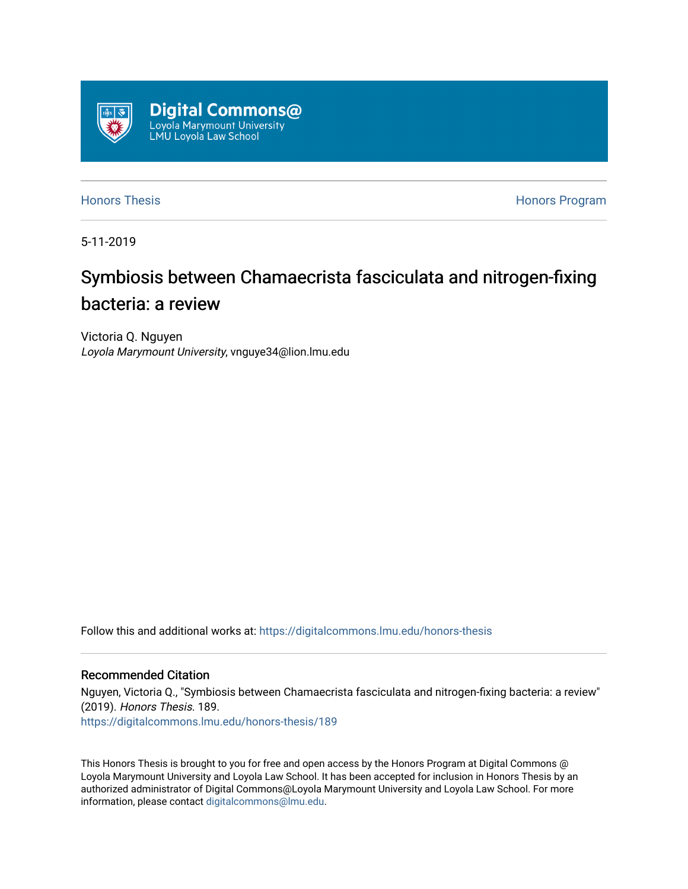

[Honors Thesis](https://digitalcommons.lmu.edu/honors-thesis) **Honors Honors** Program

5-11-2019

# Symbiosis between Chamaecrista fasciculata and nitrogen-fixing bacteria: a review

Victoria Q. Nguyen Loyola Marymount University, vnguye34@lion.lmu.edu

Follow this and additional works at: [https://digitalcommons.lmu.edu/honors-thesis](https://digitalcommons.lmu.edu/honors-thesis?utm_source=digitalcommons.lmu.edu%2Fhonors-thesis%2F189&utm_medium=PDF&utm_campaign=PDFCoverPages)

### Recommended Citation

Nguyen, Victoria Q., "Symbiosis between Chamaecrista fasciculata and nitrogen-fixing bacteria: a review" (2019). Honors Thesis. 189. [https://digitalcommons.lmu.edu/honors-thesis/189](https://digitalcommons.lmu.edu/honors-thesis/189?utm_source=digitalcommons.lmu.edu%2Fhonors-thesis%2F189&utm_medium=PDF&utm_campaign=PDFCoverPages) 

This Honors Thesis is brought to you for free and open access by the Honors Program at Digital Commons @ Loyola Marymount University and Loyola Law School. It has been accepted for inclusion in Honors Thesis by an authorized administrator of Digital Commons@Loyola Marymount University and Loyola Law School. For more information, please contact [digitalcommons@lmu.edu.](mailto:digitalcommons@lmu.edu)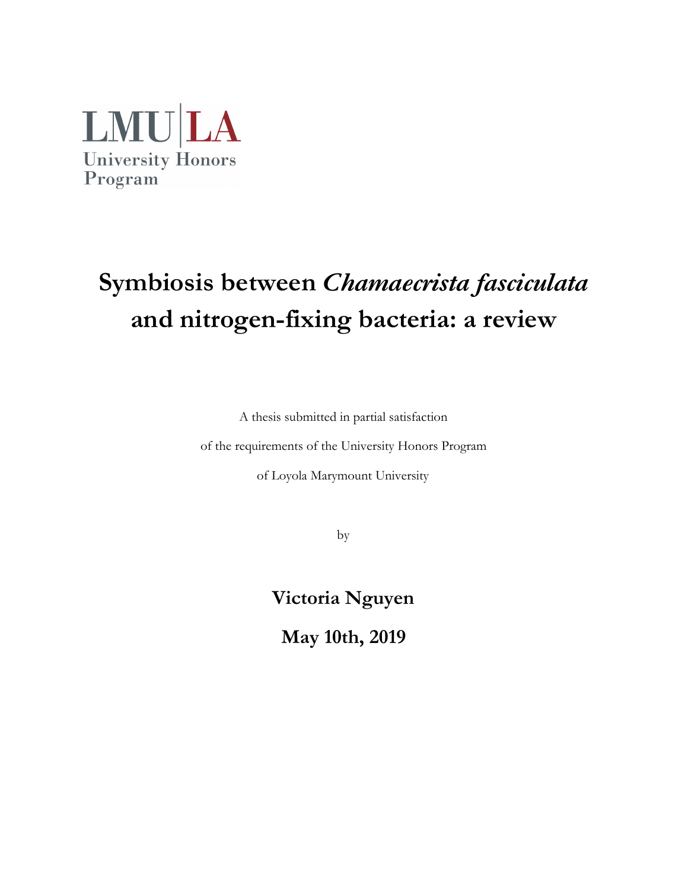

# **Symbiosis between** *Chamaecrista fasciculata* **and nitrogen-fixing bacteria: a review**

A thesis submitted in partial satisfaction

of the requirements of the University Honors Program

of Loyola Marymount University

by

**Victoria Nguyen**

**May 10th, 2019**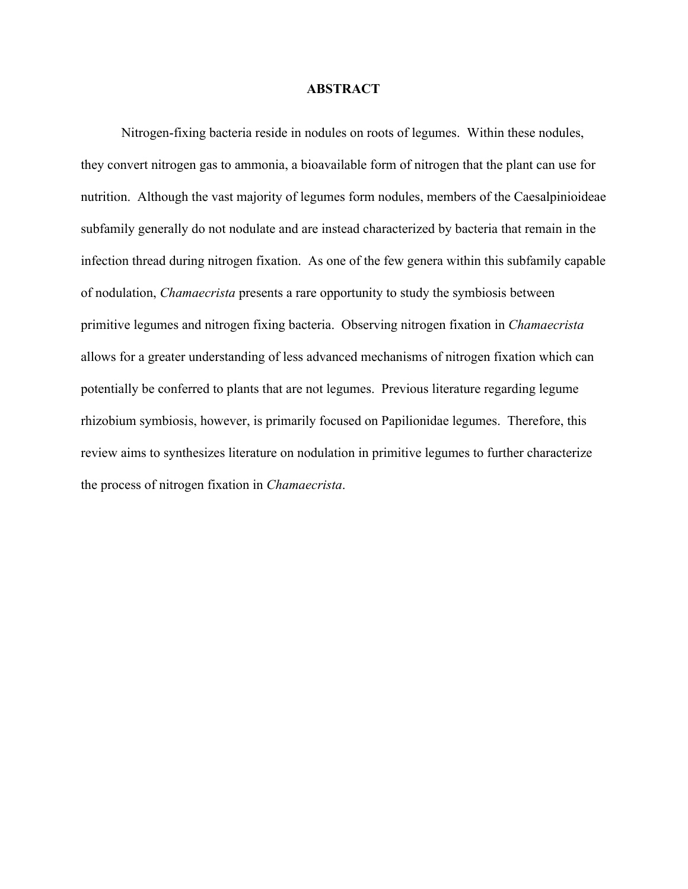#### **ABSTRACT**

Nitrogen-fixing bacteria reside in nodules on roots of legumes. Within these nodules, they convert nitrogen gas to ammonia, a bioavailable form of nitrogen that the plant can use for nutrition. Although the vast majority of legumes form nodules, members of the Caesalpinioideae subfamily generally do not nodulate and are instead characterized by bacteria that remain in the infection thread during nitrogen fixation. As one of the few genera within this subfamily capable of nodulation, *Chamaecrista* presents a rare opportunity to study the symbiosis between primitive legumes and nitrogen fixing bacteria. Observing nitrogen fixation in *Chamaecrista* allows for a greater understanding of less advanced mechanisms of nitrogen fixation which can potentially be conferred to plants that are not legumes. Previous literature regarding legume rhizobium symbiosis, however, is primarily focused on Papilionidae legumes. Therefore, this review aims to synthesizes literature on nodulation in primitive legumes to further characterize the process of nitrogen fixation in *Chamaecrista*.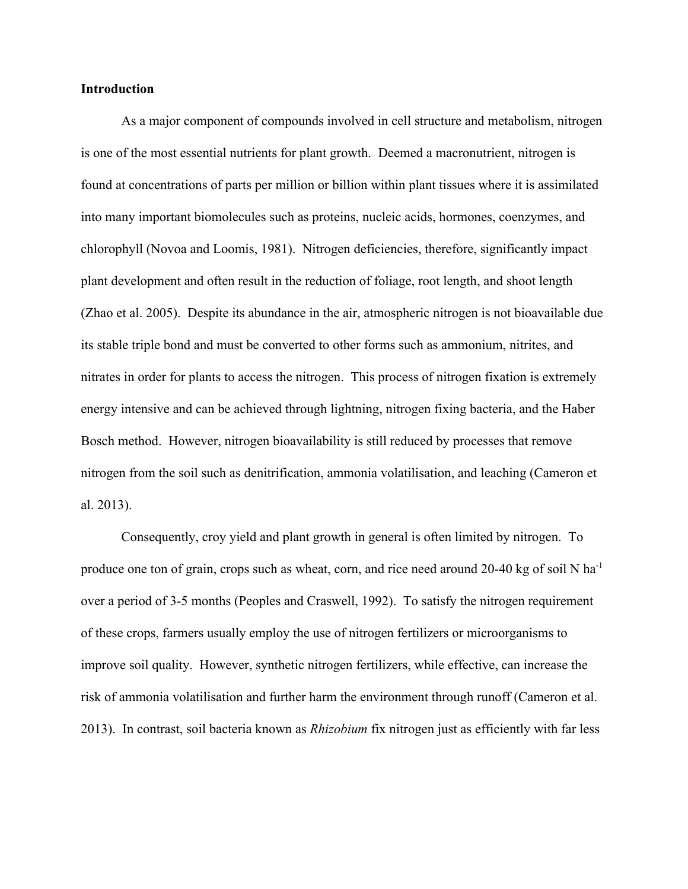#### **Introduction**

As a major component of compounds involved in cell structure and metabolism, nitrogen is one of the most essential nutrients for plant growth. Deemed a macronutrient, nitrogen is found at concentrations of parts per million or billion within plant tissues where it is assimilated into many important biomolecules such as proteins, nucleic acids, hormones, coenzymes, and chlorophyll (Novoa and Loomis, 1981). Nitrogen deficiencies, therefore, significantly impact plant development and often result in the reduction of foliage, root length, and shoot length (Zhao et al. 2005). Despite its abundance in the air, atmospheric nitrogen is not bioavailable due its stable triple bond and must be converted to other forms such as ammonium, nitrites, and nitrates in order for plants to access the nitrogen. This process of nitrogen fixation is extremely energy intensive and can be achieved through lightning, nitrogen fixing bacteria, and the Haber Bosch method. However, nitrogen bioavailability is still reduced by processes that remove nitrogen from the soil such as denitrification, ammonia volatilisation, and leaching (Cameron et al. 2013).

Consequently, croy yield and plant growth in general is often limited by nitrogen. To produce one ton of grain, crops such as wheat, corn, and rice need around 20-40 kg of soil N ha<sup>-1</sup> over a period of 3-5 months (Peoples and Craswell, 1992). To satisfy the nitrogen requirement of these crops, farmers usually employ the use of nitrogen fertilizers or microorganisms to improve soil quality. However, synthetic nitrogen fertilizers, while effective, can increase the risk of ammonia volatilisation and further harm the environment through runoff (Cameron et al. 2013). In contrast, soil bacteria known as *Rhizobium* fix nitrogen just as efficiently with far less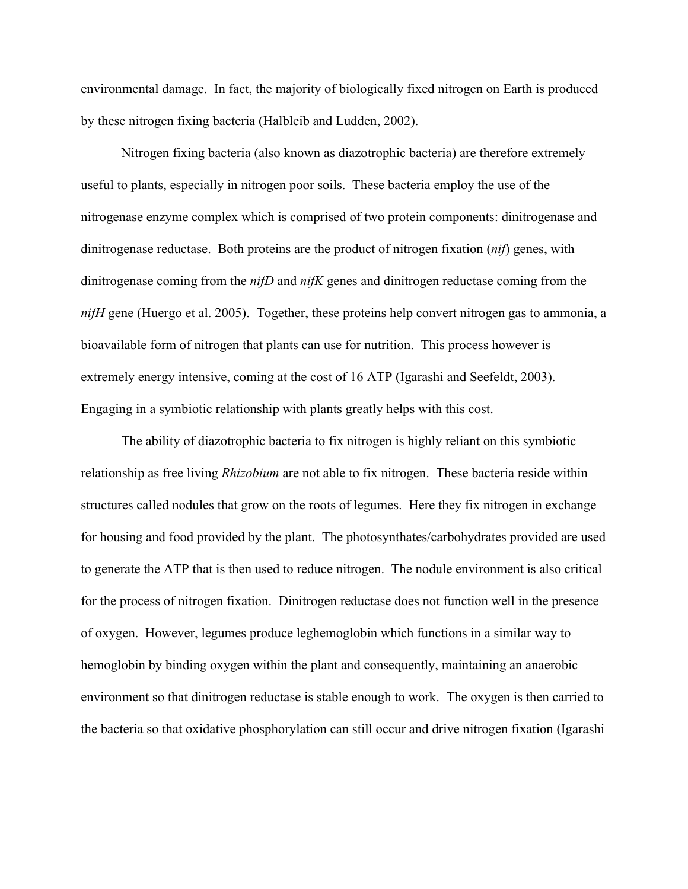environmental damage. In fact, the majority of biologically fixed nitrogen on Earth is produced by these nitrogen fixing bacteria (Halbleib and Ludden, 2002).

Nitrogen fixing bacteria (also known as diazotrophic bacteria) are therefore extremely useful to plants, especially in nitrogen poor soils. These bacteria employ the use of the nitrogenase enzyme complex which is comprised of two protein components: dinitrogenase and dinitrogenase reductase. Both proteins are the product of nitrogen fixation (*nif*) genes, with dinitrogenase coming from the *nifD* and *nifK* genes and dinitrogen reductase coming from the *nifH* gene (Huergo et al. 2005). Together, these proteins help convert nitrogen gas to ammonia, a bioavailable form of nitrogen that plants can use for nutrition. This process however is extremely energy intensive, coming at the cost of 16 ATP (Igarashi and Seefeldt, 2003). Engaging in a symbiotic relationship with plants greatly helps with this cost.

The ability of diazotrophic bacteria to fix nitrogen is highly reliant on this symbiotic relationship as free living *Rhizobium* are not able to fix nitrogen. These bacteria reside within structures called nodules that grow on the roots of legumes. Here they fix nitrogen in exchange for housing and food provided by the plant. The photosynthates/carbohydrates provided are used to generate the ATP that is then used to reduce nitrogen. The nodule environment is also critical for the process of nitrogen fixation. Dinitrogen reductase does not function well in the presence of oxygen. However, legumes produce leghemoglobin which functions in a similar way to hemoglobin by binding oxygen within the plant and consequently, maintaining an anaerobic environment so that dinitrogen reductase is stable enough to work. The oxygen is then carried to the bacteria so that oxidative phosphorylation can still occur and drive nitrogen fixation (Igarashi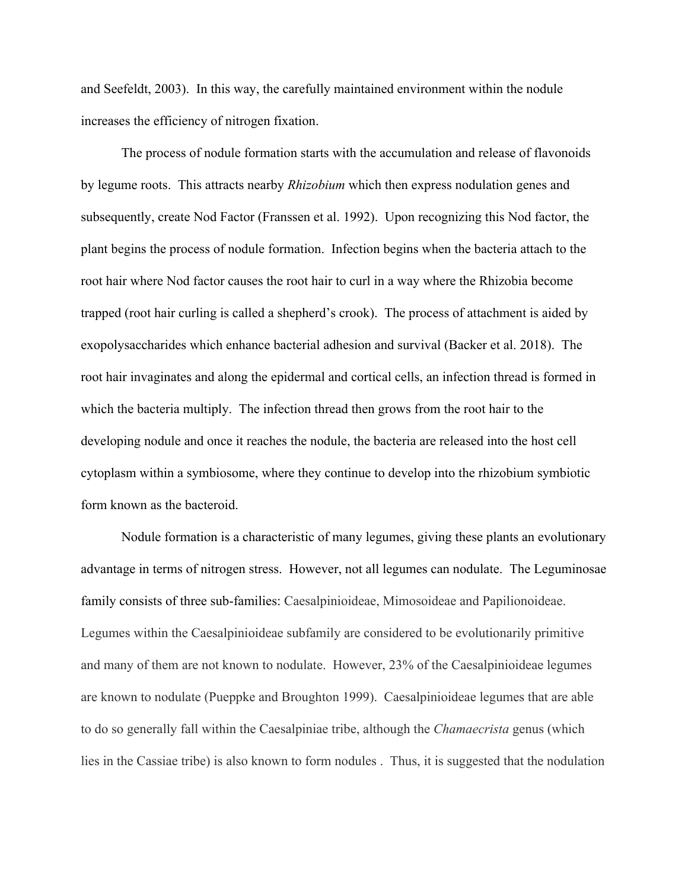and Seefeldt, 2003). In this way, the carefully maintained environment within the nodule increases the efficiency of nitrogen fixation.

The process of nodule formation starts with the accumulation and release of flavonoids by legume roots. This attracts nearby *Rhizobium* which then express nodulation genes and subsequently, create Nod Factor (Franssen et al. 1992). Upon recognizing this Nod factor, the plant begins the process of nodule formation. Infection begins when the bacteria attach to the root hair where Nod factor causes the root hair to curl in a way where the Rhizobia become trapped (root hair curling is called a shepherd's crook). The process of attachment is aided by exopolysaccharides which enhance bacterial adhesion and survival (Backer et al. 2018). The root hair invaginates and along the epidermal and cortical cells, an infection thread is formed in which the bacteria multiply. The infection thread then grows from the root hair to the developing nodule and once it reaches the nodule, the bacteria are released into the host cell cytoplasm within a symbiosome, where they continue to develop into the rhizobium symbiotic form known as the bacteroid.

Nodule formation is a characteristic of many legumes, giving these plants an evolutionary advantage in terms of nitrogen stress. However, not all legumes can nodulate. The Leguminosae family consists of three sub-families: Caesalpinioideae, Mimosoideae and Papilionoideae. Legumes within the Caesalpinioideae subfamily are considered to be evolutionarily primitive and many of them are not known to nodulate. However, 23% of the Caesalpinioideae legumes are known to nodulate (Pueppke and Broughton 1999). Caesalpinioideae legumes that are able to do so generally fall within the Caesalpiniae tribe, although the *Chamaecrista* genus (which lies in the Cassiae tribe) is also known to form nodules . Thus, it is suggested that the nodulation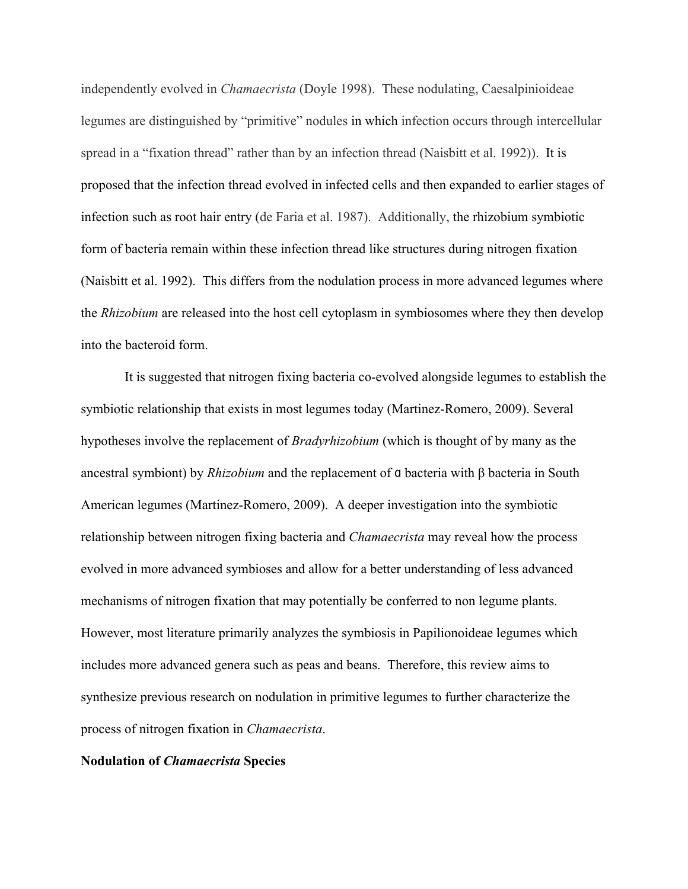independently evolved in *Chamaecrista* (Doyle 1998). These nodulating, Caesalpinioideae legumes are distinguished by "primitive" nodules in which infection occurs through intercellular spread in a "fixation thread" rather than by an infection thread (Naisbitt et al. 1992)). It is proposed that the infection thread evolved in infected cells and then expanded to earlier stages of infection such as root hair entry (de Faria et al. 1987). Additionally, the rhizobium symbiotic form of bacteria remain within these infection thread like structures during nitrogen fixation (Naisbitt et al. 1992). This differs from the nodulation process in more advanced legumes where the *Rhizobium* are released into the host cell cytoplasm in symbiosomes where they then develop into the bacteroid form.

 It is suggested that nitrogen fixing bacteria co-evolved alongside legumes to establish the symbiotic relationship that exists in most legumes today (Martinez-Romero, 2009). Several hypotheses involve the replacement of *Bradyrhizobium* (which is thought of by many as the ancestral symbiont) by *Rhizobium* and the replacement of ɑ bacteria with β bacteria in South American legumes (Martinez-Romero, 2009). A deeper investigation into the symbiotic relationship between nitrogen fixing bacteria and *Chamaecrista* may reveal how the process evolved in more advanced symbioses and allow for a better understanding of less advanced mechanisms of nitrogen fixation that may potentially be conferred to non legume plants. However, most literature primarily analyzes the symbiosis in Papilionoideae legumes which includes more advanced genera such as peas and beans. Therefore, this review aims to synthesize previous research on nodulation in primitive legumes to further characterize the process of nitrogen fixation in *Chamaecrista*.

#### **Nodulation of** *Chamaecrista* **Species**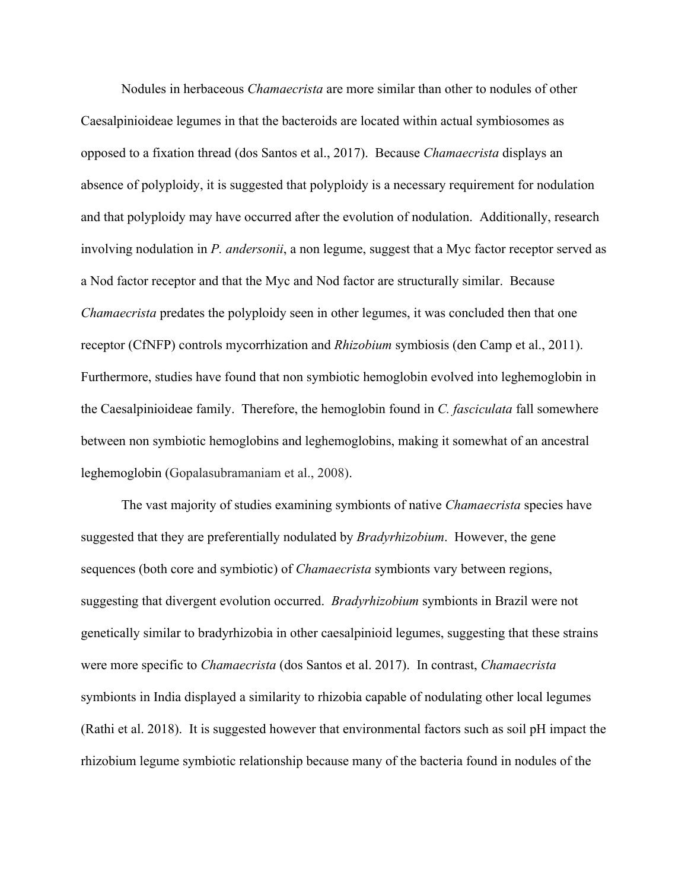Nodules in herbaceous *Chamaecrista* are more similar than other to nodules of other Caesalpinioideae legumes in that the bacteroids are located within actual symbiosomes as opposed to a fixation thread (dos Santos et al., 2017). Because *Chamaecrista* displays an absence of polyploidy, it is suggested that polyploidy is a necessary requirement for nodulation and that polyploidy may have occurred after the evolution of nodulation. Additionally, research involving nodulation in *P. andersonii*, a non legume, suggest that a Myc factor receptor served as a Nod factor receptor and that the Myc and Nod factor are structurally similar. Because *Chamaecrista* predates the polyploidy seen in other legumes, it was concluded then that one receptor (CfNFP) controls mycorrhization and *Rhizobium* symbiosis (den Camp et al., 2011). Furthermore, studies have found that non symbiotic hemoglobin evolved into leghemoglobin in the Caesalpinioideae family. Therefore, the hemoglobin found in *C. fasciculata* fall somewhere between non symbiotic hemoglobins and leghemoglobins, making it somewhat of an ancestral leghemoglobin (Gopalasubramaniam et al., 2008).

The vast majority of studies examining symbionts of native *Chamaecrista* species have suggested that they are preferentially nodulated by *Bradyrhizobium*. However, the gene sequences (both core and symbiotic) of *Chamaecrista* symbionts vary between regions, suggesting that divergent evolution occurred. *Bradyrhizobium* symbionts in Brazil were not genetically similar to bradyrhizobia in other caesalpinioid legumes, suggesting that these strains were more specific to *Chamaecrista* (dos Santos et al. 2017). In contrast, *Chamaecrista* symbionts in India displayed a similarity to rhizobia capable of nodulating other local legumes (Rathi et al. 2018). It is suggested however that environmental factors such as soil pH impact the rhizobium legume symbiotic relationship because many of the bacteria found in nodules of the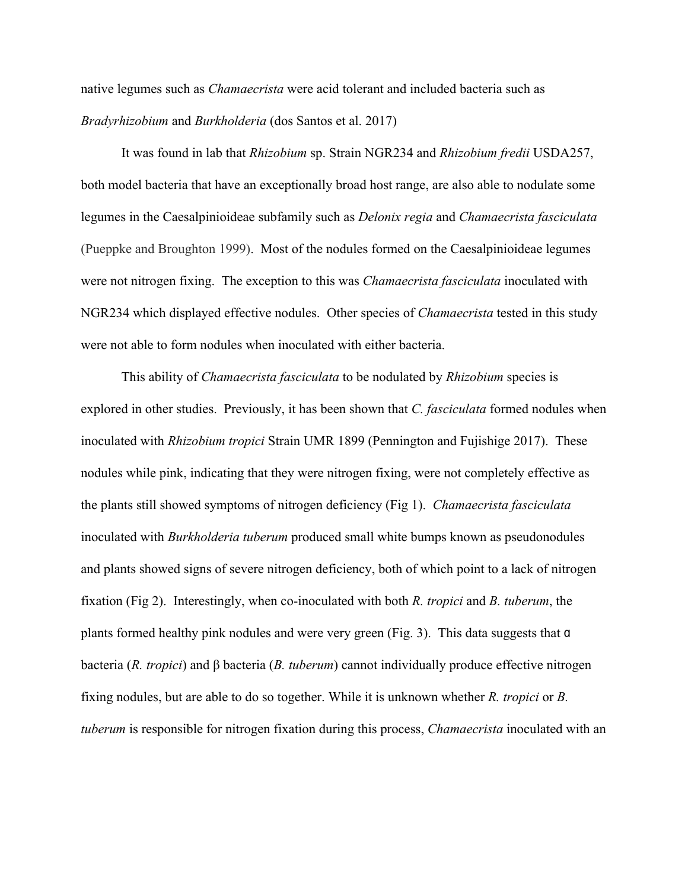native legumes such as *Chamaecrista* were acid tolerant and included bacteria such as *Bradyrhizobium* and *Burkholderia* (dos Santos et al. 2017)

It was found in lab that *Rhizobium* sp. Strain NGR234 and *Rhizobium fredii* USDA257, both model bacteria that have an exceptionally broad host range, are also able to nodulate some legumes in the Caesalpinioideae subfamily such as *Delonix regia* and *Chamaecrista fasciculata* (Pueppke and Broughton 1999). Most of the nodules formed on the Caesalpinioideae legumes were not nitrogen fixing. The exception to this was *Chamaecrista fasciculata* inoculated with NGR234 which displayed effective nodules. Other species of *Chamaecrista* tested in this study were not able to form nodules when inoculated with either bacteria.

This ability of *Chamaecrista fasciculata* to be nodulated by *Rhizobium* species is explored in other studies. Previously, it has been shown that *C. fasciculata* formed nodules when inoculated with *Rhizobium tropici* Strain UMR 1899 (Pennington and Fujishige 2017). These nodules while pink, indicating that they were nitrogen fixing, were not completely effective as the plants still showed symptoms of nitrogen deficiency (Fig 1). *Chamaecrista fasciculata* inoculated with *Burkholderia tuberum* produced small white bumps known as pseudonodules and plants showed signs of severe nitrogen deficiency, both of which point to a lack of nitrogen fixation (Fig 2). Interestingly, when co-inoculated with both *R. tropici* and *B. tuberum*, the plants formed healthy pink nodules and were very green (Fig. 3). This data suggests that ɑ bacteria (*R. tropici*) and β bacteria (*B. tuberum*) cannot individually produce effective nitrogen fixing nodules, but are able to do so together. While it is unknown whether *R. tropici* or *B. tuberum* is responsible for nitrogen fixation during this process, *Chamaecrista* inoculated with an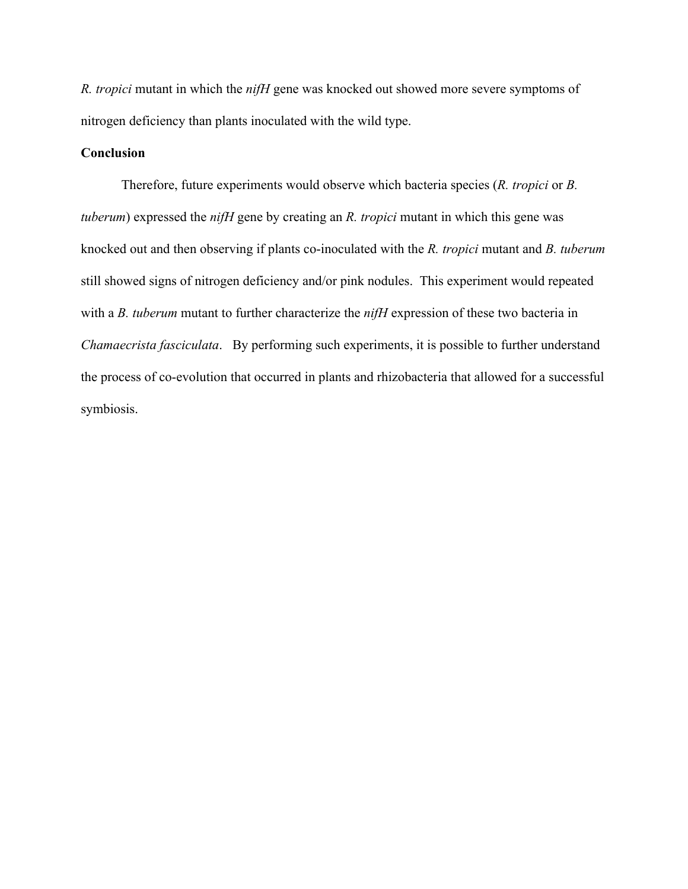*R. tropici* mutant in which the *nifH* gene was knocked out showed more severe symptoms of nitrogen deficiency than plants inoculated with the wild type.

# **Conclusion**

Therefore, future experiments would observe which bacteria species (*R. tropici* or *B. tuberum*) expressed the *nifH* gene by creating an *R. tropici* mutant in which this gene was knocked out and then observing if plants co-inoculated with the *R. tropici* mutant and *B. tuberum* still showed signs of nitrogen deficiency and/or pink nodules. This experiment would repeated with a *B. tuberum* mutant to further characterize the *nifH* expression of these two bacteria in *Chamaecrista fasciculata*. By performing such experiments, it is possible to further understand the process of co-evolution that occurred in plants and rhizobacteria that allowed for a successful symbiosis.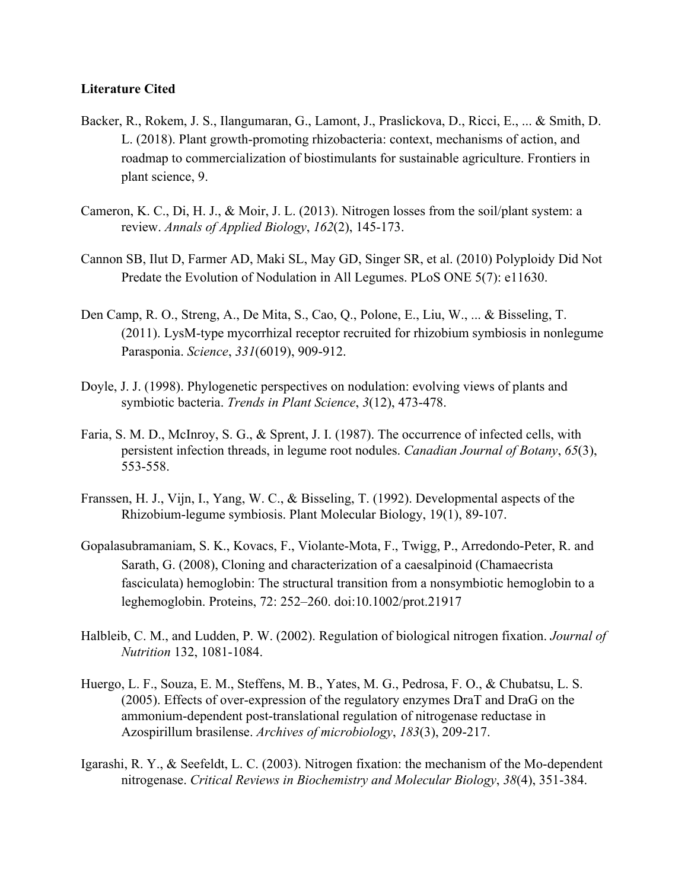# **Literature Cited**

- Backer, R., Rokem, J. S., Ilangumaran, G., Lamont, J., Praslickova, D., Ricci, E., ... & Smith, D. L. (2018). Plant growth-promoting rhizobacteria: context, mechanisms of action, and roadmap to commercialization of biostimulants for sustainable agriculture. Frontiers in plant science, 9.
- Cameron, K. C., Di, H. J., & Moir, J. L. (2013). Nitrogen losses from the soil/plant system: a review. *Annals of Applied Biology*, *162*(2), 145-173.
- Cannon SB, Ilut D, Farmer AD, Maki SL, May GD, Singer SR, et al. (2010) Polyploidy Did Not Predate the Evolution of Nodulation in All Legumes. PLoS ONE 5(7): e11630.
- Den Camp, R. O., Streng, A., De Mita, S., Cao, Q., Polone, E., Liu, W., ... & Bisseling, T. (2011). LysM-type mycorrhizal receptor recruited for rhizobium symbiosis in nonlegume Parasponia. *Science*, *331*(6019), 909-912.
- Doyle, J. J. (1998). Phylogenetic perspectives on nodulation: evolving views of plants and symbiotic bacteria. *Trends in Plant Science*, *3*(12), 473-478.
- Faria, S. M. D., McInroy, S. G., & Sprent, J. I. (1987). The occurrence of infected cells, with persistent infection threads, in legume root nodules. *Canadian Journal of Botany*, *65*(3), 553-558.
- Franssen, H. J., Vijn, I., Yang, W. C., & Bisseling, T. (1992). Developmental aspects of the Rhizobium-legume symbiosis. Plant Molecular Biology, 19(1), 89-107.
- Gopalasubramaniam, S. K., Kovacs, F., Violante-Mota, F., Twigg, P., Arredondo-Peter, R. and Sarath, G. (2008), Cloning and characterization of a caesalpinoid (Chamaecrista fasciculata) hemoglobin: The structural transition from a nonsymbiotic hemoglobin to a leghemoglobin. Proteins, 72: 252–260. doi:10.1002/prot.21917
- Halbleib, C. M., and Ludden, P. W. (2002). Regulation of biological nitrogen fixation. *Journal of Nutrition* 132, 1081-1084.
- Huergo, L. F., Souza, E. M., Steffens, M. B., Yates, M. G., Pedrosa, F. O., & Chubatsu, L. S. (2005). Effects of over-expression of the regulatory enzymes DraT and DraG on the ammonium-dependent post-translational regulation of nitrogenase reductase in Azospirillum brasilense. *Archives of microbiology*, *183*(3), 209-217.
- Igarashi, R. Y., & Seefeldt, L. C. (2003). Nitrogen fixation: the mechanism of the Mo-dependent nitrogenase. *Critical Reviews in Biochemistry and Molecular Biology*, *38*(4), 351-384.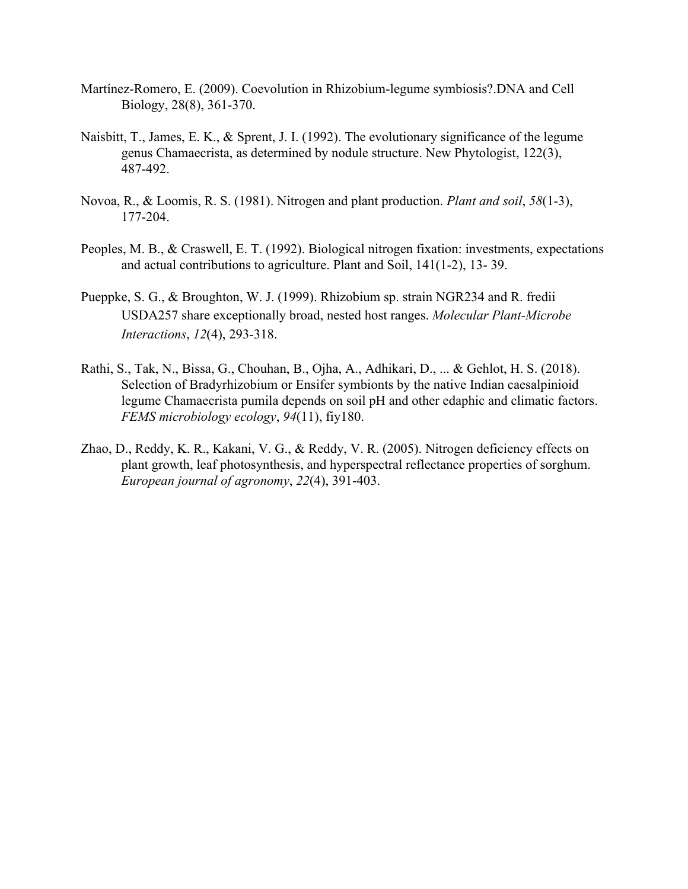- Martínez-Romero, E. (2009). Coevolution in Rhizobium-legume symbiosis?.DNA and Cell Biology, 28(8), 361-370.
- Naisbitt, T., James, E. K., & Sprent, J. I. (1992). The evolutionary significance of the legume genus Chamaecrista, as determined by nodule structure. New Phytologist, 122(3), 487-492.
- Novoa, R., & Loomis, R. S. (1981). Nitrogen and plant production. *Plant and soil*, *58*(1-3), 177-204.
- Peoples, M. B., & Craswell, E. T. (1992). Biological nitrogen fixation: investments, expectations and actual contributions to agriculture. Plant and Soil, 141(1-2), 13- 39.
- Pueppke, S. G., & Broughton, W. J. (1999). Rhizobium sp. strain NGR234 and R. fredii USDA257 share exceptionally broad, nested host ranges. *Molecular Plant-Microbe Interactions*, *12*(4), 293-318.
- Rathi, S., Tak, N., Bissa, G., Chouhan, B., Ojha, A., Adhikari, D., ... & Gehlot, H. S. (2018). Selection of Bradyrhizobium or Ensifer symbionts by the native Indian caesalpinioid legume Chamaecrista pumila depends on soil pH and other edaphic and climatic factors. *FEMS microbiology ecology*, *94*(11), fiy180.
- Zhao, D., Reddy, K. R., Kakani, V. G., & Reddy, V. R. (2005). Nitrogen deficiency effects on plant growth, leaf photosynthesis, and hyperspectral reflectance properties of sorghum. *European journal of agronomy*, *22*(4), 391-403.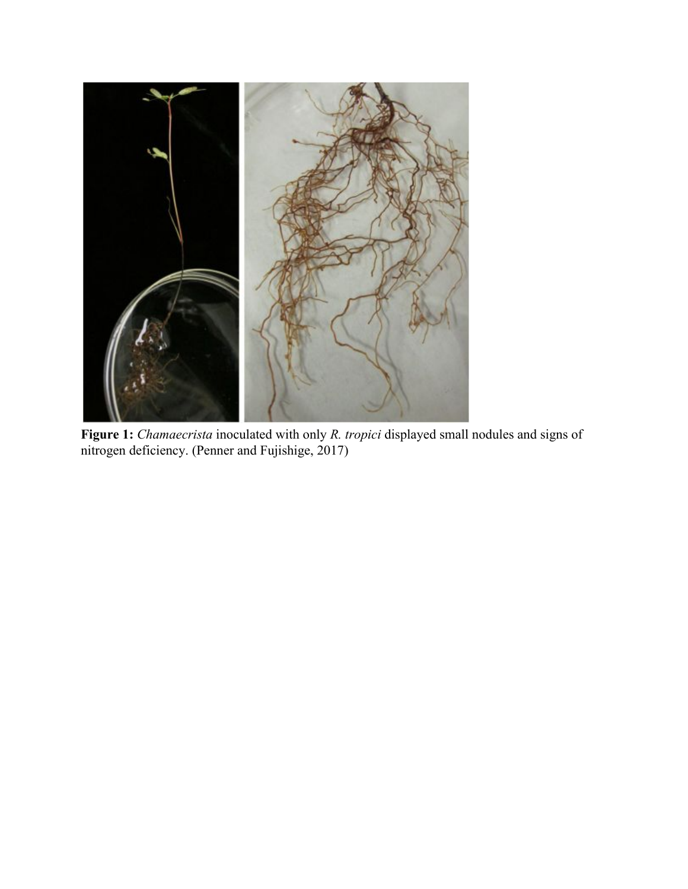

**Figure 1:** *Chamaecrista* inoculated with only *R. tropici* displayed small nodules and signs of nitrogen deficiency. (Penner and Fujishige, 2017)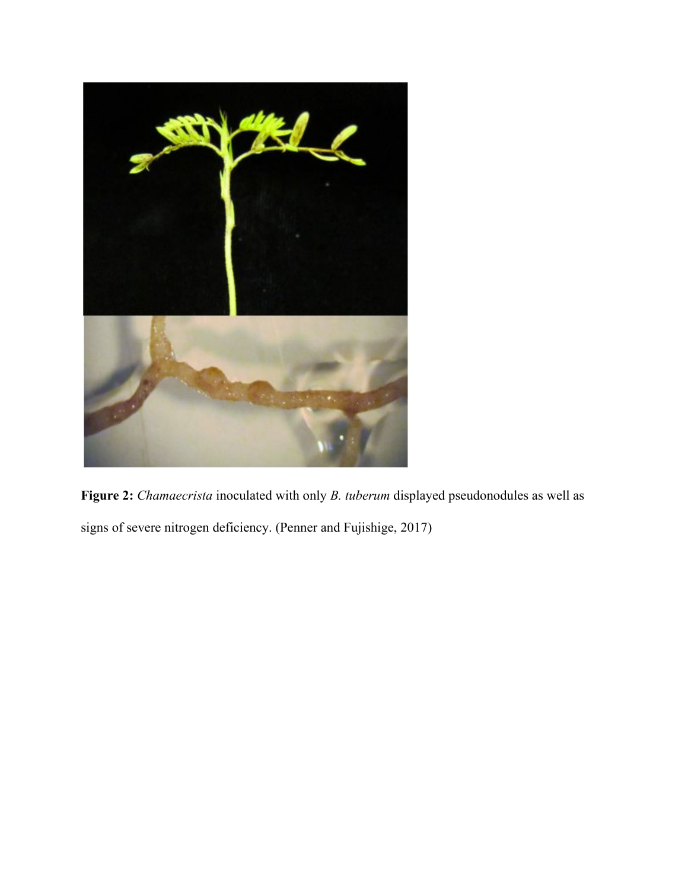

**Figure 2:** *Chamaecrista* inoculated with only *B. tuberum* displayed pseudonodules as well as signs of severe nitrogen deficiency. (Penner and Fujishige, 2017)